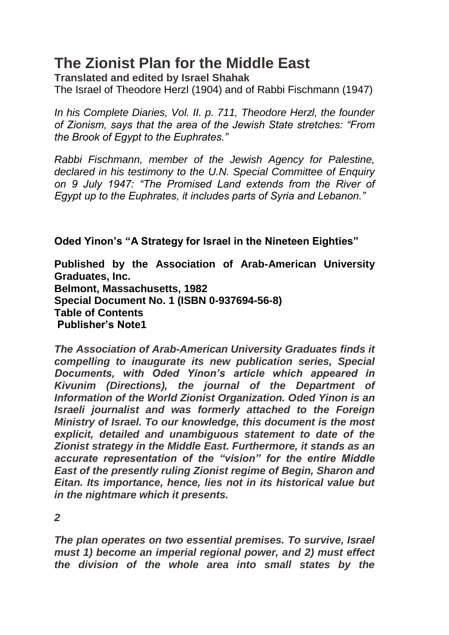# **The Zionist Plan for the Middle East**

**Translated and edited by Israel Shahak** The Israel of Theodore Herzl (1904) and of Rabbi Fischmann (1947)

*In his Complete Diaries, Vol. II. p. 711, Theodore Herzl, the founder of Zionism, says that the area of the Jewish State stretches: "From the Brook of Egypt to the Euphrates."*

*Rabbi Fischmann, member of the Jewish Agency for Palestine, declared in his testimony to the U.N. Special Committee of Enquiry on 9 July 1947: "The Promised Land extends from the River of Egypt up to the Euphrates, it includes parts of Syria and Lebanon."*

**Oded Yinon's "A Strategy for Israel in the Nineteen Eighties"**

**Published by the Association of Arab-American University Graduates, Inc. Belmont, Massachusetts, 1982 Special Document No. 1 (ISBN 0-937694-56-8) Table of Contents [Publisher's Note](http://www.geocities.com/roundtable_texts/)1**

*The Association of Arab-American University Graduates finds it compelling to inaugurate its new publication series, Special Documents, with Oded Yinon"s article which appeared in Kivunim (Directions), the journal of the Department of Information of the World Zionist Organization. Oded Yinon is an Israeli journalist and was formerly attached to the Foreign Ministry of Israel. To our knowledge, this document is the most explicit, detailed and unambiguous statement to date of the Zionist strategy in the Middle East. Furthermore, it stands as an accurate representation of the "vision" for the entire Middle East of the presently ruling Zionist regime of Begin, Sharon and Eitan. Its importance, hence, lies not in its historical value but in the nightmare which it presents.*

*2*

*The plan operates on two essential premises. To survive, Israel must 1) become an imperial regional power, and 2) must effect the division of the whole area into small states by the*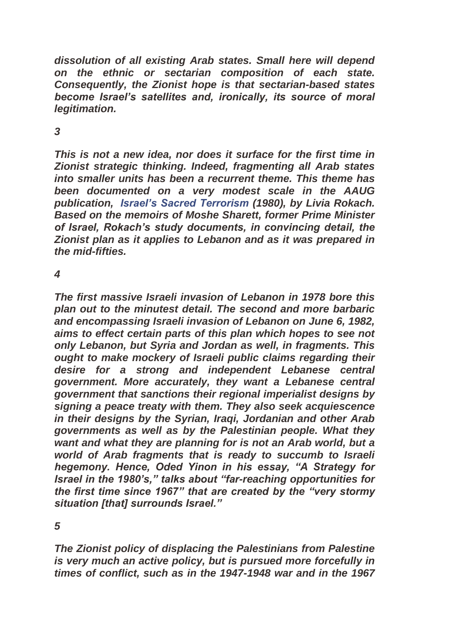*dissolution of all existing Arab states. Small here will depend on the ethnic or sectarian composition of each state. Consequently, the Zionist hope is that sectarian-based states become Israel"s satellites and, ironically, its source of moral legitimation.*

*3*

*This is not a new idea, nor does it surface for the first time in Zionist strategic thinking. Indeed, fragmenting all Arab states into smaller units has been a recurrent theme. This theme has been documented on a very modest scale in the AAUG publication, [Israel"s Sacred Terrorism](http://www.geocities.com/roundtable_texts/sacredterror.html) (1980), by Livia Rokach. Based on the memoirs of Moshe Sharett, former Prime Minister of Israel, Rokach"s study documents, in convincing detail, the Zionist plan as it applies to Lebanon and as it was prepared in the mid-fifties.*

*4*

*The first massive Israeli invasion of Lebanon in 1978 bore this plan out to the minutest detail. The second and more barbaric and encompassing Israeli invasion of Lebanon on June 6, 1982, aims to effect certain parts of this plan which hopes to see not only Lebanon, but Syria and Jordan as well, in fragments. This ought to make mockery of Israeli public claims regarding their desire for a strong and independent Lebanese central government. More accurately, they want a Lebanese central government that sanctions their regional imperialist designs by signing a peace treaty with them. They also seek acquiescence in their designs by the Syrian, Iraqi, Jordanian and other Arab governments as well as by the Palestinian people. What they want and what they are planning for is not an Arab world, but a world of Arab fragments that is ready to succumb to Israeli hegemony. Hence, Oded Yinon in his essay, "A Strategy for Israel in the 1980"s," talks about "far-reaching opportunities for the first time since 1967" that are created by the "very stormy situation [that] surrounds Israel."*

*5*

*The Zionist policy of displacing the Palestinians from Palestine is very much an active policy, but is pursued more forcefully in times of conflict, such as in the 1947-1948 war and in the 1967*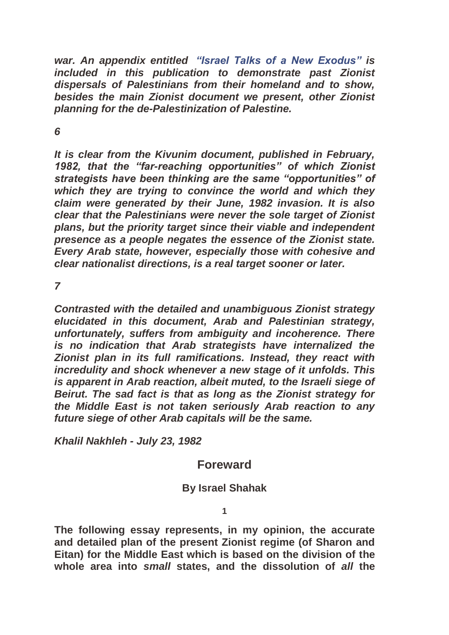*war. An appendix entitled ["Israel Talks of a New Exodus"](http://www.geocities.com/roundtable_texts/newexodus.html) is included in this publication to demonstrate past Zionist dispersals of Palestinians from their homeland and to show, besides the main Zionist document we present, other Zionist planning for the de-Palestinization of Palestine.*

*6*

*It is clear from the Kivunim document, published in February, 1982, that the "far-reaching opportunities" of which Zionist strategists have been thinking are the same "opportunities" of which they are trying to convince the world and which they claim were generated by their June, 1982 invasion. It is also clear that the Palestinians were never the sole target of Zionist plans, but the priority target since their viable and independent presence as a people negates the essence of the Zionist state. Every Arab state, however, especially those with cohesive and clear nationalist directions, is a real target sooner or later.*

*7*

*Contrasted with the detailed and unambiguous Zionist strategy elucidated in this document, Arab and Palestinian strategy, unfortunately, suffers from ambiguity and incoherence. There is no indication that Arab strategists have internalized the Zionist plan in its full ramifications. Instead, they react with incredulity and shock whenever a new stage of it unfolds. This is apparent in Arab reaction, albeit muted, to the Israeli siege of Beirut. The sad fact is that as long as the Zionist strategy for the Middle East is not taken seriously Arab reaction to any future siege of other Arab capitals will be the same.*

*Khalil Nakhleh - July 23, 1982*

# **Foreward**

### **By Israel Shahak**

**1**

**The following essay represents, in my opinion, the accurate and detailed plan of the present Zionist regime (of Sharon and Eitan) for the Middle East which is based on the division of the whole area into** *small* **states, and the dissolution of** *all* **the**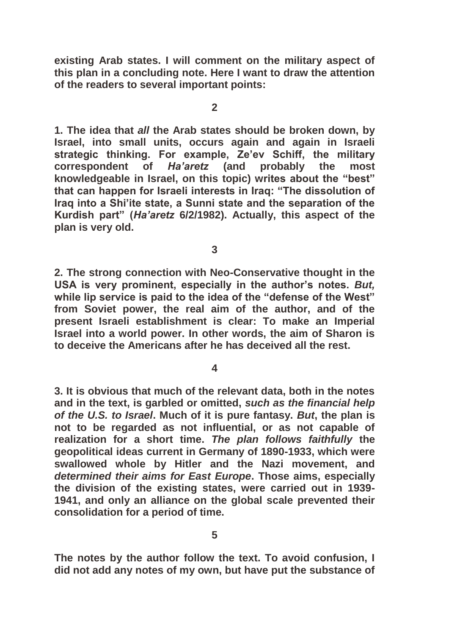**existing Arab states. I will comment on the military aspect of this plan in a concluding note. Here I want to draw the attention of the readers to several important points:**

**2**

**1. The idea that** *all* **the Arab states should be broken down, by Israel, into small units, occurs again and again in Israeli strategic thinking. For example, Ze'ev Schiff, the military correspondent of** *Ha"aretz* **(and probably the most knowledgeable in Israel, on this topic) writes about the "best" that can happen for Israeli interests in Iraq: "The dissolution of Iraq into a Shi'ite state, a Sunni state and the separation of the Kurdish part" (***Ha"aretz* **6/2/1982). Actually, this aspect of the plan is very old.**

**3**

**2. The strong connection with Neo-Conservative thought in the USA is very prominent, especially in the author's notes.** *But,* **while lip service is paid to the idea of the "defense of the West" from Soviet power, the real aim of the author, and of the present Israeli establishment is clear: To make an Imperial Israel into a world power. In other words, the aim of Sharon is to deceive the Americans after he has deceived all the rest.**

**4**

**3. It is obvious that much of the relevant data, both in the notes and in the text, is garbled or omitted,** *such as the financial help of the U.S. to Israel***. Much of it is pure fantasy.** *But***, the plan is not to be regarded as not influential, or as not capable of realization for a short time.** *The plan follows faithfully* **the geopolitical ideas current in Germany of 1890-1933, which were swallowed whole by Hitler and the Nazi movement, and**  *determined their aims for East Europe***. Those aims, especially the division of the existing states, were carried out in 1939- 1941, and only an alliance on the global scale prevented their consolidation for a period of time.**

**The notes by the author follow the text. To avoid confusion, I did not add any notes of my own, but have put the substance of**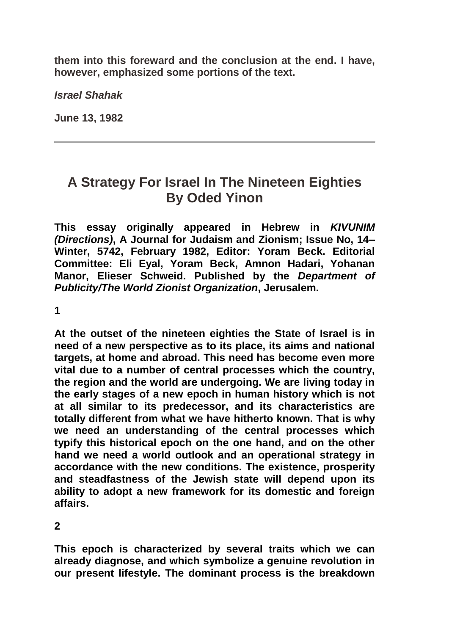**them into this foreward and the conclusion at the end. I have, however, emphasized some portions of the text.**

*Israel Shahak*

**June 13, 1982**

# **A Strategy For Israel In The Nineteen Eighties By Oded Yinon**

**This essay originally appeared in Hebrew in** *KIVUNIM (Directions)***, A Journal for Judaism and Zionism; Issue No, 14– Winter, 5742, February 1982, Editor: Yoram Beck. Editorial Committee: Eli Eyal, Yoram Beck, Amnon Hadari, Yohanan Manor, Elieser Schweid. Published by the** *Department of Publicity/The World Zionist Organization***, Jerusalem.**

**1**

**At the outset of the nineteen eighties the State of Israel is in need of a new perspective as to its place, its aims and national targets, at home and abroad. This need has become even more vital due to a number of central processes which the country, the region and the world are undergoing. We are living today in the early stages of a new epoch in human history which is not at all similar to its predecessor, and its characteristics are totally different from what we have hitherto known. That is why we need an understanding of the central processes which typify this historical epoch on the one hand, and on the other hand we need a world outlook and an operational strategy in accordance with the new conditions. The existence, prosperity and steadfastness of the Jewish state will depend upon its ability to adopt a new framework for its domestic and foreign affairs.**

**2**

**This epoch is characterized by several traits which we can already diagnose, and which symbolize a genuine revolution in our present lifestyle. The dominant process is the breakdown**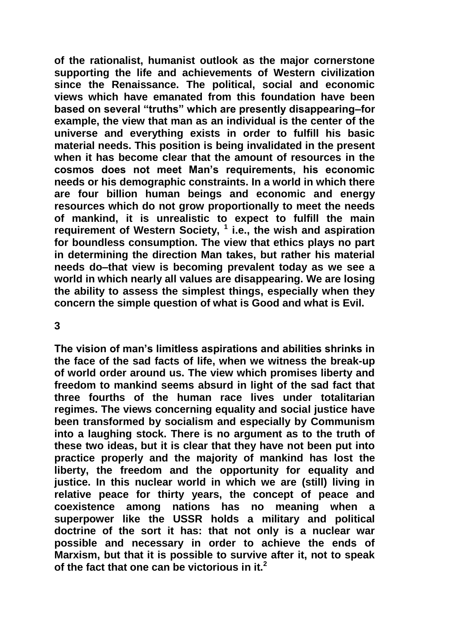**of the rationalist, humanist outlook as the major cornerstone supporting the life and achievements of Western civilization since the Renaissance. The political, social and economic views which have emanated from this foundation have been based on several "truths" which are presently disappearing–for example, the view that man as an individual is the center of the universe and everything exists in order to fulfill his basic material needs. This position is being invalidated in the present when it has become clear that the amount of resources in the cosmos does not meet Man's requirements, his economic needs or his demographic constraints. In a world in which there are four billion human beings and economic and energy resources which do not grow proportionally to meet the needs of mankind, it is unrealistic to expect to fulfill the main requirement of Western Society, [1](http://www.geocities.com/roundtable_texts/) i.e., the wish and aspiration for boundless consumption. The view that ethics plays no part in determining the direction Man takes, but rather his material needs do–that view is becoming prevalent today as we see a world in which nearly all values are disappearing. We are losing the ability to assess the simplest things, especially when they concern the simple question of what is Good and what is Evil.**

**3**

**The vision of man's limitless aspirations and abilities shrinks in the face of the sad facts of life, when we witness the break-up of world order around us. The view which promises liberty and freedom to mankind seems absurd in light of the sad fact that three fourths of the human race lives under totalitarian regimes. The views concerning equality and social justice have been transformed by socialism and especially by Communism into a laughing stock. There is no argument as to the truth of these two ideas, but it is clear that they have not been put into practice properly and the majority of mankind has lost the liberty, the freedom and the opportunity for equality and justice. In this nuclear world in which we are (still) living in relative peace for thirty years, the concept of peace and coexistence among nations has no meaning when a superpower like the USSR holds a military and political doctrine of the sort it has: that not only is a nuclear war possible and necessary in order to achieve the ends of Marxism, but that it is possible to survive after it, not to speak of the fact that one can be victorious in it.<sup>2</sup>**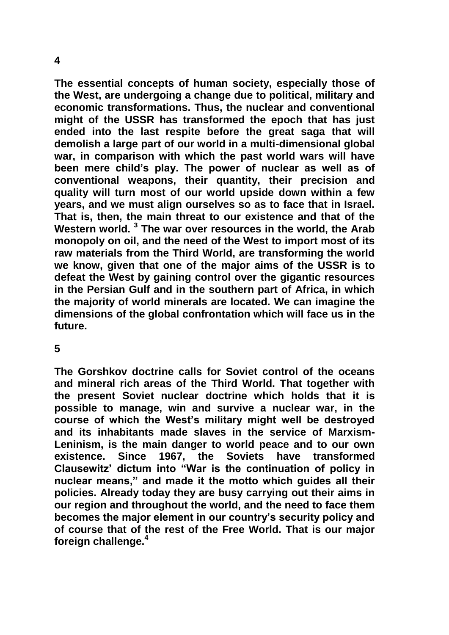**The essential concepts of human society, especially those of the West, are undergoing a change due to political, military and economic transformations. Thus, the nuclear and conventional might of the USSR has transformed the epoch that has just ended into the last respite before the great saga that will demolish a large part of our world in a multi-dimensional global war, in comparison with which the past world wars will have been mere child's play. The power of nuclear as well as of conventional weapons, their quantity, their precision and quality will turn most of our world upside down within a few years, and we must align ourselves so as to face that in Israel. That is, then, the main threat to our existence and that of the Western world. [3](http://www.geocities.com/roundtable_texts/) The war over resources in the world, the Arab monopoly on oil, and the need of the West to import most of its raw materials from the Third World, are transforming the world we know, given that one of the major aims of the USSR is to defeat the West by gaining control over the gigantic resources in the Persian Gulf and in the southern part of Africa, in which the majority of world minerals are located. We can imagine the dimensions of the global confrontation which will face us in the future.**

#### **5**

**The Gorshkov doctrine calls for Soviet control of the oceans and mineral rich areas of the Third World. That together with the present Soviet nuclear doctrine which holds that it is possible to manage, win and survive a nuclear war, in the course of which the West's military might well be destroyed and its inhabitants made slaves in the service of Marxism-Leninism, is the main danger to world peace and to our own existence. Since 1967, the Soviets have transformed Clausewitz' dictum into "War is the continuation of policy in nuclear means," and made it the motto which guides all their policies. Already today they are busy carrying out their aims in our region and throughout the world, and the need to face them becomes the major element in our country's security policy and of course that of the rest of the Free World. That is our major foreign challenge.<sup>4</sup>**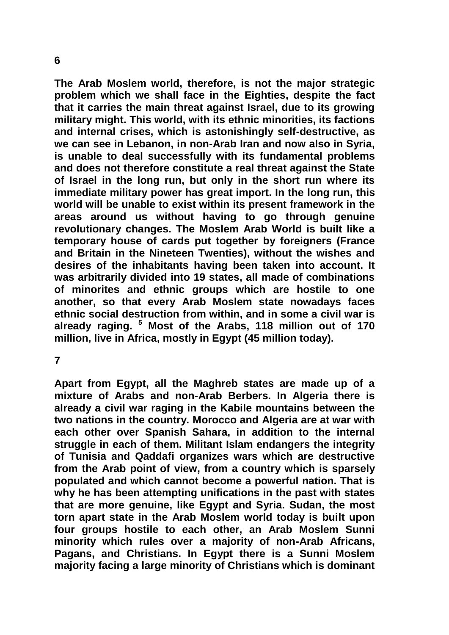**The Arab Moslem world, therefore, is not the major strategic problem which we shall face in the Eighties, despite the fact that it carries the main threat against Israel, due to its growing military might. This world, with its ethnic minorities, its factions and internal crises, which is astonishingly self-destructive, as we can see in Lebanon, in non-Arab Iran and now also in Syria, is unable to deal successfully with its fundamental problems and does not therefore constitute a real threat against the State of Israel in the long run, but only in the short run where its immediate military power has great import. In the long run, this world will be unable to exist within its present framework in the areas around us without having to go through genuine revolutionary changes. The Moslem Arab World is built like a temporary house of cards put together by foreigners (France and Britain in the Nineteen Twenties), without the wishes and desires of the inhabitants having been taken into account. It was arbitrarily divided into 19 states, all made of combinations of minorites and ethnic groups which are hostile to one another, so that every Arab Moslem state nowadays faces ethnic social destruction from within, and in some a civil war is already raging. [5](http://www.geocities.com/roundtable_texts/) Most of the Arabs, 118 million out of 170 million, live in Africa, mostly in Egypt (45 million today).**

**7**

**Apart from Egypt, all the Maghreb states are made up of a mixture of Arabs and non-Arab Berbers. In Algeria there is already a civil war raging in the Kabile mountains between the two nations in the country. Morocco and Algeria are at war with each other over Spanish Sahara, in addition to the internal struggle in each of them. Militant Islam endangers the integrity of Tunisia and Qaddafi organizes wars which are destructive from the Arab point of view, from a country which is sparsely populated and which cannot become a powerful nation. That is why he has been attempting unifications in the past with states that are more genuine, like Egypt and Syria. Sudan, the most torn apart state in the Arab Moslem world today is built upon four groups hostile to each other, an Arab Moslem Sunni minority which rules over a majority of non-Arab Africans, Pagans, and Christians. In Egypt there is a Sunni Moslem majority facing a large minority of Christians which is dominant**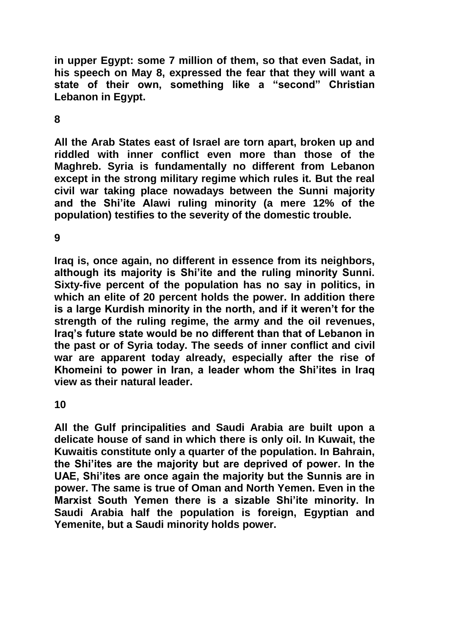**in upper Egypt: some 7 million of them, so that even Sadat, in his speech on May 8, expressed the fear that they will want a state of their own, something like a "second" Christian Lebanon in Egypt.**

### **8**

**All the Arab States east of Israel are torn apart, broken up and riddled with inner conflict even more than those of the Maghreb. Syria is fundamentally no different from Lebanon except in the strong military regime which rules it. But the real civil war taking place nowadays between the Sunni majority and the Shi'ite Alawi ruling minority (a mere 12% of the population) testifies to the severity of the domestic trouble.**

#### **9**

**Iraq is, once again, no different in essence from its neighbors, although its majority is Shi'ite and the ruling minority Sunni. Sixty-five percent of the population has no say in politics, in which an elite of 20 percent holds the power. In addition there is a large Kurdish minority in the north, and if it weren't for the strength of the ruling regime, the army and the oil revenues, Iraq's future state would be no different than that of Lebanon in the past or of Syria today. The seeds of inner conflict and civil war are apparent today already, especially after the rise of Khomeini to power in Iran, a leader whom the Shi'ites in Iraq view as their natural leader.**

#### **10**

**All the Gulf principalities and Saudi Arabia are built upon a delicate house of sand in which there is only oil. In Kuwait, the Kuwaitis constitute only a quarter of the population. In Bahrain, the Shi'ites are the majority but are deprived of power. In the UAE, Shi'ites are once again the majority but the Sunnis are in power. The same is true of Oman and North Yemen. Even in the Marxist South Yemen there is a sizable Shi'ite minority. In Saudi Arabia half the population is foreign, Egyptian and Yemenite, but a Saudi minority holds power.**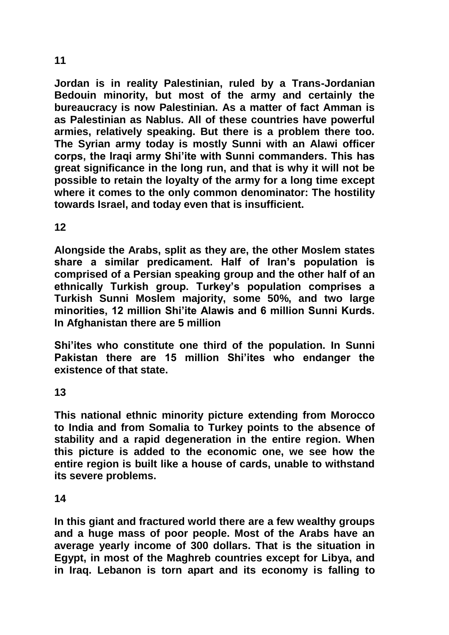**Jordan is in reality Palestinian, ruled by a Trans-Jordanian Bedouin minority, but most of the army and certainly the bureaucracy is now Palestinian. As a matter of fact Amman is as Palestinian as Nablus. All of these countries have powerful armies, relatively speaking. But there is a problem there too. The Syrian army today is mostly Sunni with an Alawi officer corps, the Iraqi army Shi'ite with Sunni commanders. This has great significance in the long run, and that is why it will not be possible to retain the loyalty of the army for a long time except where it comes to the only common denominator: The hostility towards Israel, and today even that is insufficient.**

**12**

**Alongside the Arabs, split as they are, the other Moslem states share a similar predicament. Half of Iran's population is comprised of a Persian speaking group and the other half of an ethnically Turkish group. Turkey's population comprises a Turkish Sunni Moslem majority, some 50%, and two large minorities, 12 million Shi'ite Alawis and 6 million Sunni Kurds. In Afghanistan there are 5 million**

**Shi'ites who constitute one third of the population. In Sunni Pakistan there are 15 million Shi'ites who endanger the existence of that state.**

**13**

**This national ethnic minority picture extending from Morocco to India and from Somalia to Turkey points to the absence of stability and a rapid degeneration in the entire region. When this picture is added to the economic one, we see how the entire region is built like a house of cards, unable to withstand its severe problems.**

#### **14**

**In this giant and fractured world there are a few wealthy groups and a huge mass of poor people. Most of the Arabs have an average yearly income of 300 dollars. That is the situation in Egypt, in most of the Maghreb countries except for Libya, and in Iraq. Lebanon is torn apart and its economy is falling to**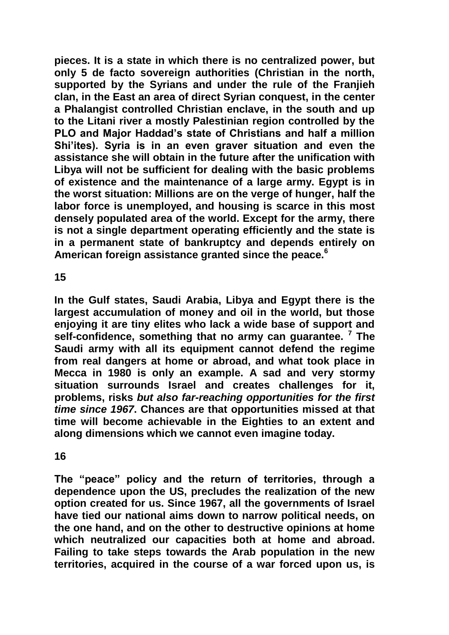**pieces. It is a state in which there is no centralized power, but only 5 de facto sovereign authorities (Christian in the north, supported by the Syrians and under the rule of the Franjieh clan, in the East an area of direct Syrian conquest, in the center a Phalangist controlled Christian enclave, in the south and up to the Litani river a mostly Palestinian region controlled by the PLO and Major Haddad's state of Christians and half a million Shi'ites). Syria is in an even graver situation and even the assistance she will obtain in the future after the unification with Libya will not be sufficient for dealing with the basic problems of existence and the maintenance of a large army. Egypt is in the worst situation: Millions are on the verge of hunger, half the labor force is unemployed, and housing is scarce in this most densely populated area of the world. Except for the army, there is not a single department operating efficiently and the state is in a permanent state of bankruptcy and depends entirely on American foreign assistance granted since the peace.<sup>6</sup>**

**15**

**In the Gulf states, Saudi Arabia, Libya and Egypt there is the largest accumulation of money and oil in the world, but those enjoying it are tiny elites who lack a wide base of support and self-confidence, something that no army can guarantee. [7](http://www.geocities.com/roundtable_texts/) The Saudi army with all its equipment cannot defend the regime from real dangers at home or abroad, and what took place in Mecca in 1980 is only an example. A sad and very stormy situation surrounds Israel and creates challenges for it, problems, risks** *but also far-reaching opportunities for the first time since 1967***. Chances are that opportunities missed at that time will become achievable in the Eighties to an extent and along dimensions which we cannot even imagine today.**

**16**

**The "peace" policy and the return of territories, through a dependence upon the US, precludes the realization of the new option created for us. Since 1967, all the governments of Israel have tied our national aims down to narrow political needs, on the one hand, and on the other to destructive opinions at home which neutralized our capacities both at home and abroad. Failing to take steps towards the Arab population in the new territories, acquired in the course of a war forced upon us, is**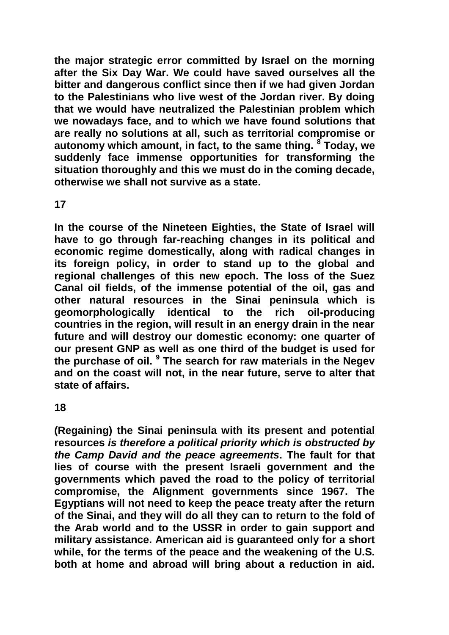**the major strategic error committed by Israel on the morning after the Six Day War. We could have saved ourselves all the bitter and dangerous conflict since then if we had given Jordan to the Palestinians who live west of the Jordan river. By doing that we would have neutralized the Palestinian problem which we nowadays face, and to which we have found solutions that are really no solutions at all, such as territorial compromise or autonomy which amount, in fact, to the same thing. [8](http://www.geocities.com/roundtable_texts/) Today, we suddenly face immense opportunities for transforming the situation thoroughly and this we must do in the coming decade, otherwise we shall not survive as a state.**

**17**

**In the course of the Nineteen Eighties, the State of Israel will have to go through far-reaching changes in its political and economic regime domestically, along with radical changes in its foreign policy, in order to stand up to the global and regional challenges of this new epoch. The loss of the Suez Canal oil fields, of the immense potential of the oil, gas and other natural resources in the Sinai peninsula which is geomorphologically identical to the rich oil-producing countries in the region, will result in an energy drain in the near future and will destroy our domestic economy: one quarter of our present GNP as well as one third of the budget is used for**  the purchase of oil. <sup>[9](http://www.geocities.com/roundtable_texts/)</sup> The search for raw materials in the Negev **and on the coast will not, in the near future, serve to alter that state of affairs.**

**18**

**(Regaining) the Sinai peninsula with its present and potential resources** *is therefore a political priority which is obstructed by the Camp David and the peace agreements***. The fault for that lies of course with the present Israeli government and the governments which paved the road to the policy of territorial compromise, the Alignment governments since 1967. The Egyptians will not need to keep the peace treaty after the return of the Sinai, and they will do all they can to return to the fold of the Arab world and to the USSR in order to gain support and military assistance. American aid is guaranteed only for a short while, for the terms of the peace and the weakening of the U.S. both at home and abroad will bring about a reduction in aid.**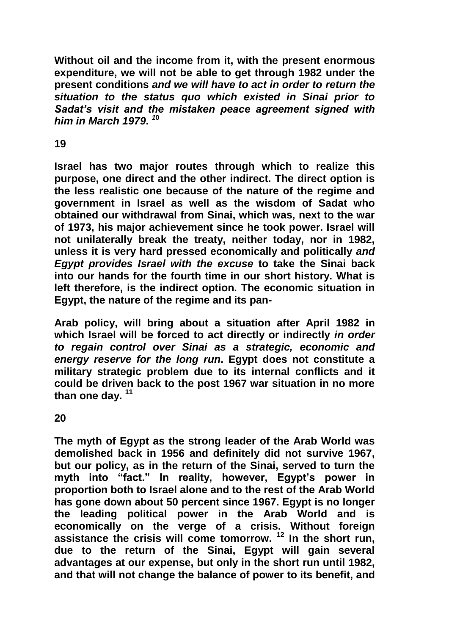**Without oil and the income from it, with the present enormous expenditure, we will not be able to get through 1982 under the present conditions** *and we will have to act in order to return the situation to the status quo which existed in Sinai prior to Sadat"s visit and the mistaken peace agreement signed with him in March 1979***.** *[1](http://www.geocities.com/roundtable_texts/)***0**

**19**

**Israel has two major routes through which to realize this purpose, one direct and the other indirect. The direct option is the less realistic one because of the nature of the regime and government in Israel as well as the wisdom of Sadat who obtained our withdrawal from Sinai, which was, next to the war of 1973, his major achievement since he took power. Israel will not unilaterally break the treaty, neither today, nor in 1982, unless it is very hard pressed economically and politically** *and Egypt provides Israel with the excuse* **to take the Sinai back into our hands for the fourth time in our short history. What is left therefore, is the indirect option. The economic situation in Egypt, the nature of the regime and its pan-**

**Arab policy, will bring about a situation after April 1982 in which Israel will be forced to act directly or indirectly** *in order to regain control over Sinai as a strategic, economic and energy reserve for the long run***. Egypt does not constitute a military strategic problem due to its internal conflicts and it could be driven back to the post 1967 war situation in no more than one day. [11](http://www.geocities.com/roundtable_texts/)**

**20**

**The myth of Egypt as the strong leader of the Arab World was demolished back in 1956 and definitely did not survive 1967, but our policy, as in the return of the Sinai, served to turn the myth into "fact." In reality, however, Egypt's power in proportion both to Israel alone and to the rest of the Arab World has gone down about 50 percent since 1967. Egypt is no longer the leading political power in the Arab World and is economically on the verge of a crisis. Without foreign assistance the crisis will come tomorrow. [12](http://www.geocities.com/roundtable_texts/) In the short run, due to the return of the Sinai, Egypt will gain several advantages at our expense, but only in the short run until 1982, and that will not change the balance of power to its benefit, and**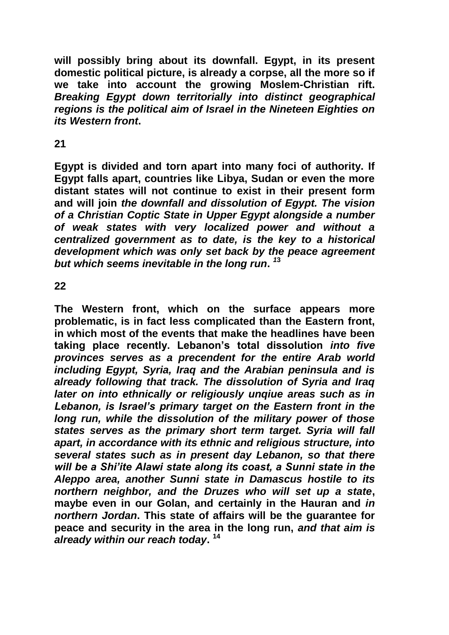**will possibly bring about its downfall. Egypt, in its present domestic political picture, is already a corpse, all the more so if we take into account the growing Moslem-Christian rift.**  *Breaking Egypt down territorially into distinct geographical regions is the political aim of Israel in the Nineteen Eighties on its Western front***.**

# **21**

**Egypt is divided and torn apart into many foci of authority. If Egypt falls apart, countries like Libya, Sudan or even the more distant states will not continue to exist in their present form and will join** *the downfall and dissolution of Egypt. The vision of a Christian Coptic State in Upper Egypt alongside a number of weak states with very localized power and without a centralized government as to date, is the key to a historical development which was only set back by the peace agreement but which seems inevitable in the long run***.** *[1](http://www.geocities.com/roundtable_texts/)***3**

#### **22**

**The Western front, which on the surface appears more problematic, is in fact less complicated than the Eastern front, in which most of the events that make the headlines have been taking place recently. Lebanon's total dissolution** *into five provinces serves as a precendent for the entire Arab world including Egypt, Syria, Iraq and the Arabian peninsula and is already following that track. The dissolution of Syria and Iraq later on into ethnically or religiously ungiue areas such as in Lebanon, is Israel"s primary target on the Eastern front in the long run, while the dissolution of the military power of those states serves as the primary short term target. Syria will fall apart, in accordance with its ethnic and religious structure, into several states such as in present day Lebanon, so that there will be a Shi"ite Alawi state along its coast, a Sunni state in the Aleppo area, another Sunni state in Damascus hostile to its northern neighbor, and the Druzes who will set up a state***, maybe even in our Golan, and certainly in the Hauran and** *in northern Jordan***. This state of affairs will be the guarantee for peace and security in the area in the long run,** *and that aim is already within our reach today***. [14](http://www.geocities.com/roundtable_texts/)**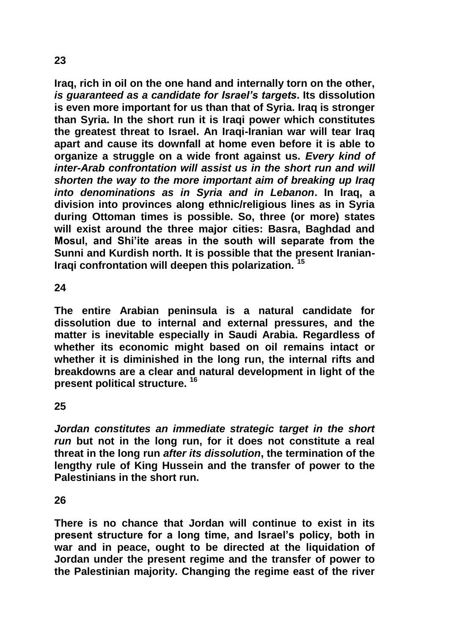**Iraq, rich in oil on the one hand and internally torn on the other,**  *is guaranteed as a candidate for Israel"s targets***. Its dissolution is even more important for us than that of Syria. Iraq is stronger than Syria. In the short run it is Iraqi power which constitutes the greatest threat to Israel. An Iraqi-Iranian war will tear Iraq apart and cause its downfall at home even before it is able to organize a struggle on a wide front against us.** *Every kind of inter-Arab confrontation will assist us in the short run and will shorten the way to the more important aim of breaking up Iraq into denominations as in Syria and in Lebanon***. In Iraq, a division into provinces along ethnic/religious lines as in Syria during Ottoman times is possible. So, three (or more) states will exist around the three major cities: Basra, Baghdad and Mosul, and Shi'ite areas in the south will separate from the Sunni and Kurdish north. It is possible that the present Iranian-Iraqi confrontation will deepen this polarization. [15](http://www.geocities.com/roundtable_texts/)**

**24**

**The entire Arabian peninsula is a natural candidate for dissolution due to internal and external pressures, and the matter is inevitable especially in Saudi Arabia. Regardless of whether its economic might based on oil remains intact or whether it is diminished in the long run, the internal rifts and breakdowns are a clear and natural development in light of the present political structure. [16](http://www.geocities.com/roundtable_texts/)**

#### **25**

*Jordan constitutes an immediate strategic target in the short run* **but not in the long run, for it does not constitute a real threat in the long run** *after its dissolution***, the termination of the lengthy rule of King Hussein and the transfer of power to the Palestinians in the short run.**

**26**

**There is no chance that Jordan will continue to exist in its present structure for a long time, and Israel's policy, both in war and in peace, ought to be directed at the liquidation of Jordan under the present regime and the transfer of power to the Palestinian majority. Changing the regime east of the river**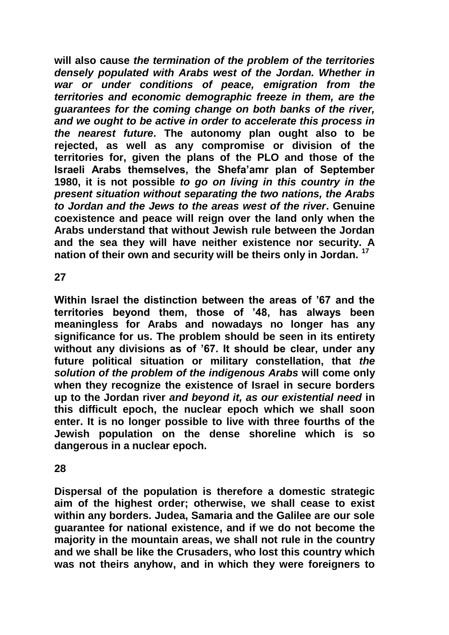**will also cause** *the termination of the problem of the territories densely populated with Arabs west of the Jordan. Whether in war or under conditions of peace, emigration from the territories and economic demographic freeze in them, are the guarantees for the coming change on both banks of the river, and we ought to be active in order to accelerate this process in the nearest future***. The autonomy plan ought also to be rejected, as well as any compromise or division of the territories for, given the plans of the PLO and those of the Israeli Arabs themselves, the Shefa'amr plan of September 1980, it is not possible** *to go on living in this country in the present situation without separating the two nations, the Arabs to Jordan and the Jews to the areas west of the river***. Genuine coexistence and peace will reign over the land only when the Arabs understand that without Jewish rule between the Jordan and the sea they will have neither existence nor security. A nation of their own and security will be theirs only in Jordan. [17](http://www.geocities.com/roundtable_texts/)**

**27**

**Within Israel the distinction between the areas of '67 and the territories beyond them, those of '48, has always been meaningless for Arabs and nowadays no longer has any significance for us. The problem should be seen in its entirety without any divisions as of '67. It should be clear, under any future political situation or military constellation, that** *the solution of the problem of the indigenous Arabs* **will come only when they recognize the existence of Israel in secure borders up to the Jordan river** *and beyond it, as our existential need* **in this difficult epoch, the nuclear epoch which we shall soon enter. It is no longer possible to live with three fourths of the Jewish population on the dense shoreline which is so dangerous in a nuclear epoch.**

**28**

**Dispersal of the population is therefore a domestic strategic aim of the highest order; otherwise, we shall cease to exist within any borders. Judea, Samaria and the Galilee are our sole guarantee for national existence, and if we do not become the majority in the mountain areas, we shall not rule in the country and we shall be like the Crusaders, who lost this country which was not theirs anyhow, and in which they were foreigners to**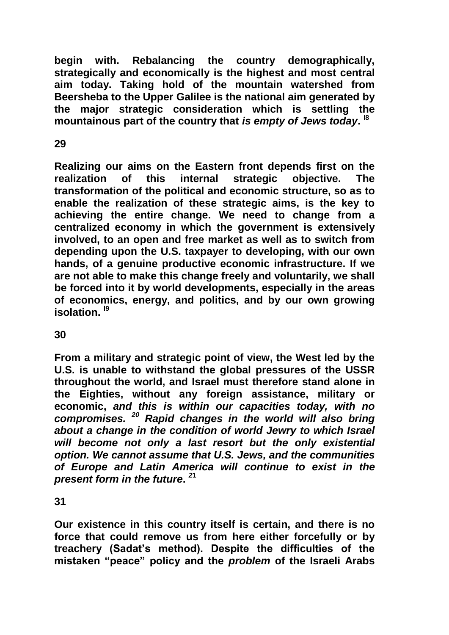**begin with. Rebalancing the country demographically, strategically and economically is the highest and most central aim today. Taking hold of the mountain watershed from Beersheba to the Upper Galilee is the national aim generated by the major strategic consideration which is settling the mountainous part of the country that** *is empty of Jews today***. [l8](http://www.geocities.com/roundtable_texts/)**

**29**

**Realizing our aims on the Eastern front depends first on the realization of this internal strategic objective. The transformation of the political and economic structure, so as to enable the realization of these strategic aims, is the key to achieving the entire change. We need to change from a centralized economy in which the government is extensively involved, to an open and free market as well as to switch from depending upon the U.S. taxpayer to developing, with our own hands, of a genuine productive economic infrastructure. If we are not able to make this change freely and voluntarily, we shall be forced into it by world developments, especially in the areas of economics, energy, and politics, and by our own growing isolation. [l9](http://www.geocities.com/roundtable_texts/)**

**30**

**From a military and strategic point of view, the West led by the U.S. is unable to withstand the global pressures of the USSR throughout the world, and Israel must therefore stand alone in the Eighties, without any foreign assistance, military or economic,** *and this is within our capacities today, with no compromises. [20](http://www.geocities.com/roundtable_texts/) Rapid changes in the world will also bring about a change in the condition of world Jewry to which Israel will become not only a last resort but the only existential option. We cannot assume that U.S. Jews, and the communities of Europe and Latin America will continue to exist in the present form in the future***.** *[2](http://www.geocities.com/roundtable_texts/)***1**

**31**

**Our existence in this country itself is certain, and there is no force that could remove us from here either forcefully or by treachery (Sadat's method). Despite the difficulties of the mistaken "peace" policy and the** *problem* **of the Israeli Arabs**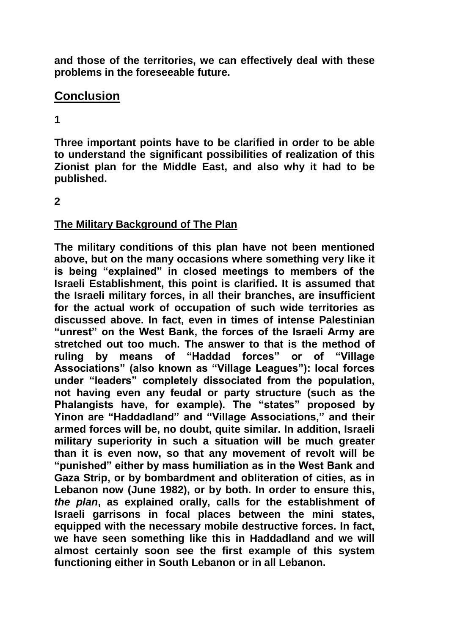**and those of the territories, we can effectively deal with these problems in the foreseeable future.**

# **Conclusion**

**1**

**Three important points have to be clarified in order to be able to understand the significant possibilities of realization of this Zionist plan for the Middle East, and also why it had to be published.**

# **2**

### **The Military Background of The Plan**

**The military conditions of this plan have not been mentioned above, but on the many occasions where something very like it is being "explained" in closed meetings to members of the Israeli Establishment, this point is clarified. It is assumed that the Israeli military forces, in all their branches, are insufficient for the actual work of occupation of such wide territories as discussed above. In fact, even in times of intense Palestinian "unrest" on the West Bank, the forces of the Israeli Army are stretched out too much. The answer to that is the method of ruling by means of "Haddad forces" or of "Village Associations" (also known as "Village Leagues"): local forces under "leaders" completely dissociated from the population, not having even any feudal or party structure (such as the Phalangists have, for example). The "states" proposed by Yinon are "Haddadland" and "Village Associations," and their armed forces will be, no doubt, quite similar. In addition, Israeli military superiority in such a situation will be much greater than it is even now, so that any movement of revolt will be "punished" either by mass humiliation as in the West Bank and Gaza Strip, or by bombardment and obliteration of cities, as in Lebanon now (June 1982), or by both. In order to ensure this,**  *the plan***, as explained orally, calls for the establishment of Israeli garrisons in focal places between the mini states, equipped with the necessary mobile destructive forces. In fact, we have seen something like this in Haddadland and we will almost certainly soon see the first example of this system functioning either in South Lebanon or in all Lebanon.**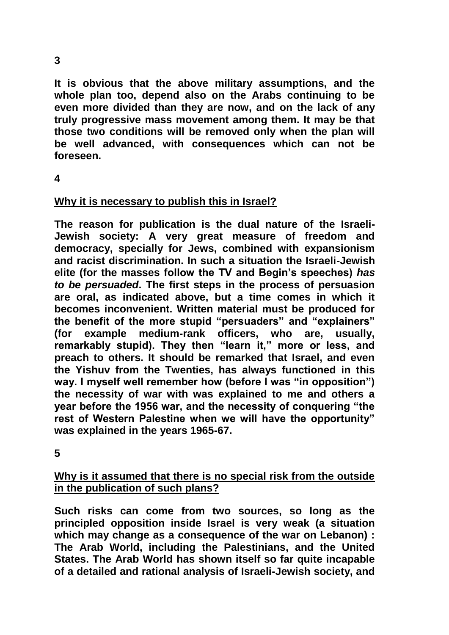**It is obvious that the above military assumptions, and the whole plan too, depend also on the Arabs continuing to be even more divided than they are now, and on the lack of any truly progressive mass movement among them. It may be that those two conditions will be removed only when the plan will be well advanced, with consequences which can not be foreseen.**

**4**

# **Why it is necessary to publish this in Israel?**

**The reason for publication is the dual nature of the Israeli-Jewish society: A very great measure of freedom and democracy, specially for Jews, combined with expansionism and racist discrimination. In such a situation the Israeli-Jewish elite (for the masses follow the TV and Begin's speeches)** *has to be persuaded***. The first steps in the process of persuasion are oral, as indicated above, but a time comes in which it becomes inconvenient. Written material must be produced for the benefit of the more stupid "persuaders" and "explainers" (for example medium-rank officers, who are, usually, remarkably stupid). They then "learn it," more or less, and preach to others. It should be remarked that Israel, and even the Yishuv from the Twenties, has always functioned in this way. I myself well remember how (before I was "in opposition") the necessity of war with was explained to me and others a year before the 1956 war, and the necessity of conquering "the rest of Western Palestine when we will have the opportunity" was explained in the years 1965-67.**

**5**

**Why is it assumed that there is no special risk from the outside in the publication of such plans?**

**Such risks can come from two sources, so long as the principled opposition inside Israel is very weak (a situation which may change as a consequence of the war on Lebanon) : The Arab World, including the Palestinians, and the United States. The Arab World has shown itself so far quite incapable of a detailed and rational analysis of Israeli-Jewish society, and** 

**3**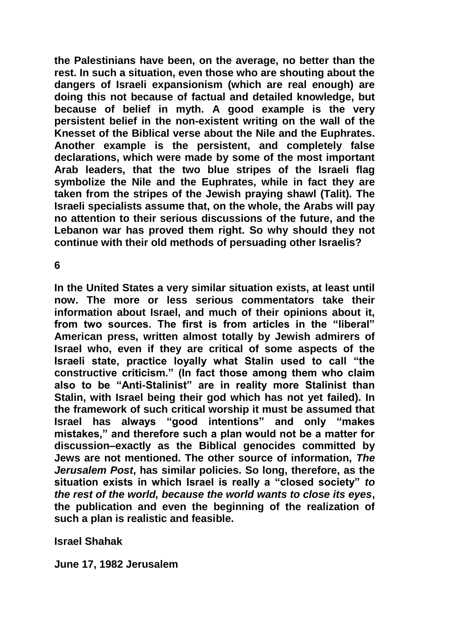**the Palestinians have been, on the average, no better than the rest. In such a situation, even those who are shouting about the dangers of Israeli expansionism (which are real enough) are doing this not because of factual and detailed knowledge, but because of belief in myth. A good example is the very persistent belief in the non-existent writing on the wall of the Knesset of the Biblical verse about the Nile and the Euphrates. Another example is the persistent, and completely false declarations, which were made by some of the most important Arab leaders, that the two blue stripes of the Israeli flag symbolize the Nile and the Euphrates, while in fact they are taken from the stripes of the Jewish praying shawl (Talit). The Israeli specialists assume that, on the whole, the Arabs will pay no attention to their serious discussions of the future, and the Lebanon war has proved them right. So why should they not continue with their old methods of persuading other Israelis?**

**6**

**In the United States a very similar situation exists, at least until now. The more or less serious commentators take their information about Israel, and much of their opinions about it, from two sources. The first is from articles in the "liberal" American press, written almost totally by Jewish admirers of Israel who, even if they are critical of some aspects of the Israeli state, practice loyally what Stalin used to call "the constructive criticism." (In fact those among them who claim also to be "Anti-Stalinist" are in reality more Stalinist than Stalin, with Israel being their god which has not yet failed). In the framework of such critical worship it must be assumed that Israel has always "good intentions" and only "makes mistakes," and therefore such a plan would not be a matter for discussion–exactly as the Biblical genocides committed by Jews are not mentioned. The other source of information,** *The Jerusalem Post***, has similar policies. So long, therefore, as the situation exists in which Israel is really a "closed society"** *to the rest of the world, because the world wants to close its eyes***, the publication and even the beginning of the realization of such a plan is realistic and feasible.**

**Israel Shahak**

**June 17, 1982 Jerusalem**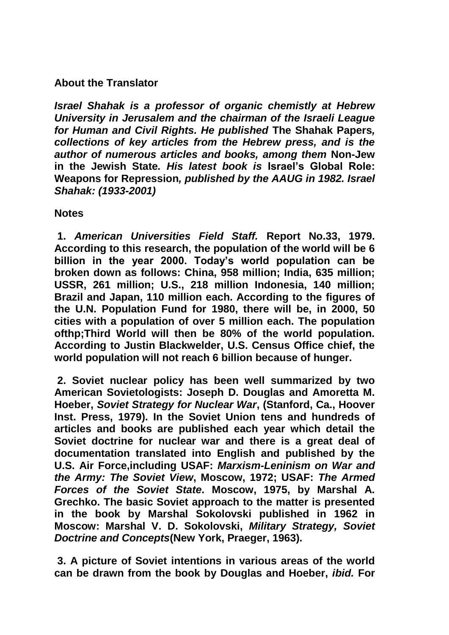## **About the Translator**

*Israel Shahak is a professor of organic chemistly at Hebrew University in Jerusalem and the chairman of the Israeli League for Human and Civil Rights. He published* **The Shahak Papers***, collections of key articles from the Hebrew press, and is the author of numerous articles and books, among them* **Non-Jew in the Jewish State***. His latest book is* **Israel's Global Role: Weapons for Repression***, published by the AAUG in 1982. Israel Shahak: (1933-2001)*

#### **Notes**

**[1](http://www.geocities.com/roundtable_texts/).** *American Universities Field Staff.* **Report No.33, 1979. According to this research, the population of the world will be 6 billion in the year 2000. Today's world population can be broken down as follows: China, 958 million; India, 635 million; USSR, 261 million; U.S., 218 million Indonesia, 140 million; Brazil and Japan, 110 million each. According to the figures of the U.N. Population Fund for 1980, there will be, in 2000, 50 cities with a population of over 5 million each. The population ofthp;Third World will then be 80% of the world population. According to Justin Blackwelder, U.S. Census Office chief, the world population will not reach 6 billion because of hunger.**

**[2](http://www.geocities.com/roundtable_texts/). Soviet nuclear policy has been well summarized by two American Sovietologists: Joseph D. Douglas and Amoretta M. Hoeber,** *Soviet Strategy for Nuclear War***, (Stanford, Ca., Hoover Inst. Press, 1979). In the Soviet Union tens and hundreds of articles and books are published each year which detail the Soviet doctrine for nuclear war and there is a great deal of documentation translated into English and published by the U.S. Air Force,including USAF:** *Marxism-Leninism on War and the Army: The Soviet View***, Moscow, 1972; USAF:** *The Armed Forces of the Soviet State***. Moscow, 1975, by Marshal A. Grechko. The basic Soviet approach to the matter is presented in the book by Marshal Sokolovski published in 1962 in Moscow: Marshal V. D. Sokolovski,** *Military Strategy, Soviet Doctrine and Concepts***(New York, Praeger, 1963).**

**[3](http://www.geocities.com/roundtable_texts/). A picture of Soviet intentions in various areas of the world can be drawn from the book by Douglas and Hoeber,** *ibid.* **For**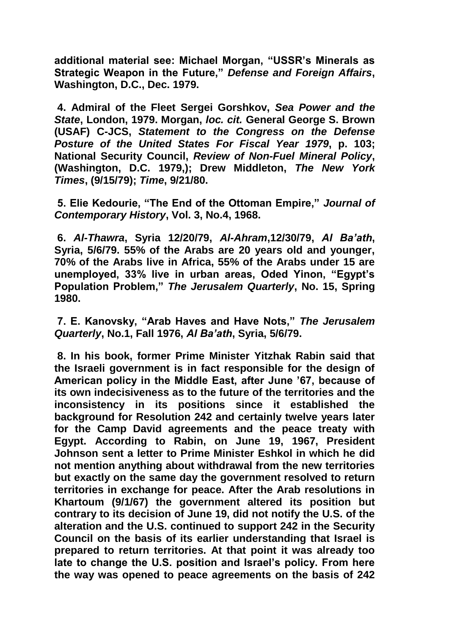**additional material see: Michael Morgan, "USSR's Minerals as Strategic Weapon in the Future,"** *Defense and Foreign Affairs***, Washington, D.C., Dec. 1979.**

**[4](http://www.geocities.com/roundtable_texts/). Admiral of the Fleet Sergei Gorshkov,** *Sea Power and the State***, London, 1979. Morgan,** *loc. cit.* **General George S. Brown (USAF) C-JCS,** *Statement to the Congress on the Defense Posture of the United States For Fiscal Year 1979***, p. 103; National Security Council,** *Review of Non-Fuel Mineral Policy***, (Washington, D.C. 1979,); Drew Middleton,** *The New York Times***, (9/15/79);** *Time***, 9/21/80.**

**[5](http://www.geocities.com/roundtable_texts/). Elie Kedourie, "The End of the Ottoman Empire,"** *Journal of Contemporary History***, Vol. 3, No.4, 1968.**

**[6](http://www.geocities.com/roundtable_texts/).** *Al-Thawra***, Syria 12/20/79,** *Al-Ahram***,12/30/79,** *Al Ba"ath***, Syria, 5/6/79. 55% of the Arabs are 20 years old and younger, 70% of the Arabs live in Africa, 55% of the Arabs under 15 are unemployed, 33% live in urban areas, Oded Yinon, "Egypt's Population Problem,"** *The Jerusalem Quarterly***, No. 15, Spring 1980.**

**[7](http://www.geocities.com/roundtable_texts/). E. Kanovsky, "Arab Haves and Have Nots,"** *The Jerusalem Quarterly***, No.1, Fall 1976,** *Al Ba"ath***, Syria, 5/6/79.**

**[8](http://www.geocities.com/roundtable_texts/). In his book, former Prime Minister Yitzhak Rabin said that the Israeli government is in fact responsible for the design of American policy in the Middle East, after June '67, because of its own indecisiveness as to the future of the territories and the inconsistency in its positions since it established the background for Resolution 242 and certainly twelve years later for the Camp David agreements and the peace treaty with Egypt. According to Rabin, on June 19, 1967, President Johnson sent a letter to Prime Minister Eshkol in which he did not mention anything about withdrawal from the new territories but exactly on the same day the government resolved to return territories in exchange for peace. After the Arab resolutions in Khartoum (9/1/67) the government altered its position but contrary to its decision of June 19, did not notify the U.S. of the alteration and the U.S. continued to support 242 in the Security Council on the basis of its earlier understanding that Israel is prepared to return territories. At that point it was already too late to change the U.S. position and Israel's policy. From here the way was opened to peace agreements on the basis of 242**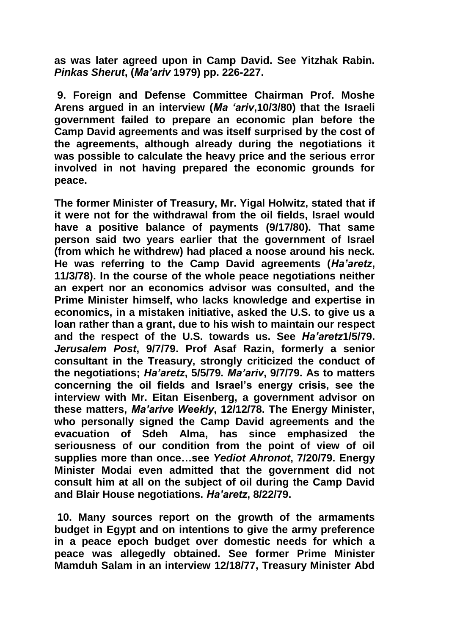**as was later agreed upon in Camp David. See Yitzhak Rabin.**  *Pinkas Sherut***, (***Ma"ariv* **1979) pp. 226-227.**

**[9](http://www.geocities.com/roundtable_texts/). Foreign and Defense Committee Chairman Prof. Moshe Arens argued in an interview (***Ma "ariv***,10/3/80) that the Israeli government failed to prepare an economic plan before the Camp David agreements and was itself surprised by the cost of the agreements, although already during the negotiations it was possible to calculate the heavy price and the serious error involved in not having prepared the economic grounds for peace.**

**The former Minister of Treasury, Mr. Yigal Holwitz, stated that if it were not for the withdrawal from the oil fields, Israel would have a positive balance of payments (9/17/80). That same person said two years earlier that the government of Israel (from which he withdrew) had placed a noose around his neck. He was referring to the Camp David agreements (***Ha"aretz***, 11/3/78). In the course of the whole peace negotiations neither an expert nor an economics advisor was consulted, and the Prime Minister himself, who lacks knowledge and expertise in economics, in a mistaken initiative, asked the U.S. to give us a loan rather than a grant, due to his wish to maintain our respect and the respect of the U.S. towards us. See** *Ha"aretz***1/5/79.**  *Jerusalem Post***, 9/7/79. Prof Asaf Razin, formerly a senior consultant in the Treasury, strongly criticized the conduct of the negotiations;** *Ha"aretz***, 5/5/79.** *Ma"ariv***, 9/7/79. As to matters concerning the oil fields and Israel's energy crisis, see the interview with Mr. Eitan Eisenberg, a government advisor on these matters,** *Ma"arive Weekly***, 12/12/78. The Energy Minister, who personally signed the Camp David agreements and the evacuation of Sdeh Alma, has since emphasized the seriousness of our condition from the point of view of oil supplies more than once…see** *Yediot Ahronot***, 7/20/79. Energy Minister Modai even admitted that the government did not consult him at all on the subject of oil during the Camp David and Blair House negotiations.** *Ha"aretz***, 8/22/79.**

**[10](http://www.geocities.com/roundtable_texts/). Many sources report on the growth of the armaments budget in Egypt and on intentions to give the army preference in a peace epoch budget over domestic needs for which a peace was allegedly obtained. See former Prime Minister Mamduh Salam in an interview 12/18/77, Treasury Minister Abd**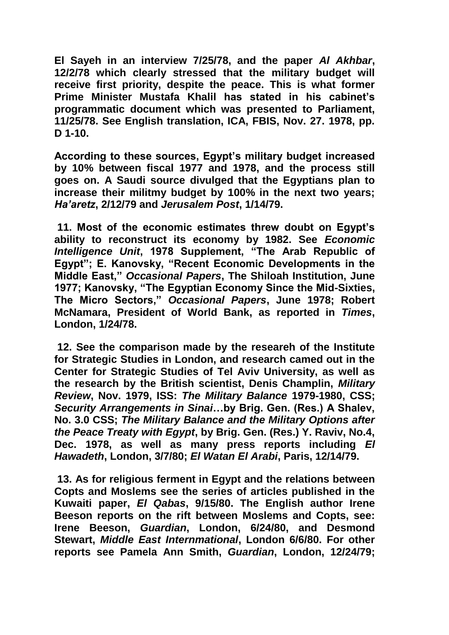**El Sayeh in an interview 7/25/78, and the paper** *Al Akhbar***, 12/2/78 which clearly stressed that the military budget will receive first priority, despite the peace. This is what former Prime Minister Mustafa Khalil has stated in his cabinet's programmatic document which was presented to Parliament, 11/25/78. See English translation, ICA, FBIS, Nov. 27. 1978, pp. D 1-10.**

**According to these sources, Egypt's military budget increased by 10% between fiscal 1977 and 1978, and the process still goes on. A Saudi source divulged that the Egyptians plan to increase their militmy budget by 100% in the next two years;**  *Ha"aretz***, 2/12/79 and** *Jerusalem Post***, 1/14/79.**

**[11](http://www.geocities.com/roundtable_texts/). Most of the economic estimates threw doubt on Egypt's ability to reconstruct its economy by 1982. See** *Economic Intelligence Unit***, 1978 Supplement, "The Arab Republic of Egypt"; E. Kanovsky, "Recent Economic Developments in the Middle East,"** *Occasional Papers***, The Shiloah Institution, June 1977; Kanovsky, "The Egyptian Economy Since the Mid-Sixties, The Micro Sectors,"** *Occasional Papers***, June 1978; Robert McNamara, President of World Bank, as reported in** *Times***, London, 1/24/78.**

**[12](http://www.geocities.com/roundtable_texts/). See the comparison made by the researeh of the Institute for Strategic Studies in London, and research camed out in the Center for Strategic Studies of Tel Aviv University, as well as the research by the British scientist, Denis Champlin,** *Military Review***, Nov. 1979, ISS:** *The Military Balance* **1979-1980, CSS;**  *Security Arrangements in Sinai***…by Brig. Gen. (Res.) A Shalev, No. 3.0 CSS;** *The Military Balance and the Military Options after the Peace Treaty with Egypt***, by Brig. Gen. (Res.) Y. Raviv, No.4, Dec. 1978, as well as many press reports including** *El Hawadeth***, London, 3/7/80;** *El Watan El Arabi***, Paris, 12/14/79.**

**[13](http://www.geocities.com/roundtable_texts/). As for religious ferment in Egypt and the relations between Copts and Moslems see the series of articles published in the Kuwaiti paper,** *El Qabas***, 9/15/80. The English author Irene Beeson reports on the rift between Moslems and Copts, see: Irene Beeson,** *Guardian***, London, 6/24/80, and Desmond Stewart,** *Middle East Internmational***, London 6/6/80. For other reports see Pamela Ann Smith,** *Guardian***, London, 12/24/79;**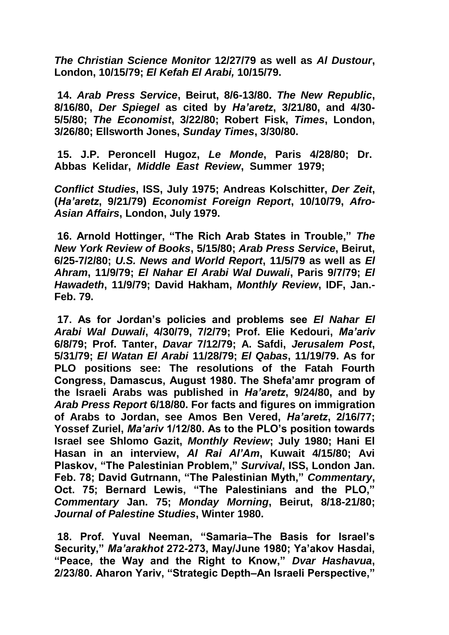*The Christian Science Monitor* **12/27/79 as well as** *Al Dustour***, London, 10/15/79;** *El Kefah El Arabi,* **10/15/79.**

**[14](http://www.geocities.com/roundtable_texts/).** *Arab Press Service***, Beirut, 8/6-13/80.** *The New Republic***, 8/16/80,** *Der Spiegel* **as cited by** *Ha"aretz***, 3/21/80, and 4/30- 5/5/80;** *The Economist***, 3/22/80; Robert Fisk,** *Times***, London, 3/26/80; Ellsworth Jones,** *Sunday Times***, 3/30/80.**

**[15](http://www.geocities.com/roundtable_texts/). J.P. Peroncell Hugoz,** *Le Monde***, Paris 4/28/80; Dr. Abbas Kelidar,** *Middle East Review***, Summer 1979;**

*Conflict Studies***, ISS, July 1975; Andreas Kolschitter,** *Der Zeit***, (***Ha"aretz***, 9/21/79)** *Economist Foreign Report***, 10/10/79,** *Afro-Asian Affairs***, London, July 1979.**

**[16](http://www.geocities.com/roundtable_texts/). Arnold Hottinger, "The Rich Arab States in Trouble,"** *The New York Review of Books***, 5/15/80;** *Arab Press Service***, Beirut, 6/25-7/2/80;** *U.S. News and World Report***, 11/5/79 as well as** *El Ahram***, 11/9/79;** *El Nahar El Arabi Wal Duwali***, Paris 9/7/79;** *El Hawadeth***, 11/9/79; David Hakham,** *Monthly Review***, IDF, Jan.- Feb. 79.**

**[17](http://www.geocities.com/roundtable_texts/). As for Jordan's policies and problems see** *El Nahar El Arabi Wal Duwali***, 4/30/79, 7/2/79; Prof. Elie Kedouri,** *Ma"ariv*  **6/8/79; Prof. Tanter,** *Davar* **7/12/79; A. Safdi,** *Jerusalem Post***, 5/31/79;** *El Watan El Arabi* **11/28/79;** *El Qabas***, 11/19/79. As for PLO positions see: The resolutions of the Fatah Fourth Congress, Damascus, August 1980. The Shefa'amr program of the Israeli Arabs was published in** *Ha"aretz***, 9/24/80, and by**  *Arab Press Report* **6/18/80. For facts and figures on immigration of Arabs to Jordan, see Amos Ben Vered,** *Ha"aretz***, 2/16/77; Yossef Zuriel,** *Ma"ariv* **1/12/80. As to the PLO's position towards Israel see Shlomo Gazit,** *Monthly Review***; July 1980; Hani El Hasan in an interview,** *Al Rai Al"Am***, Kuwait 4/15/80; Avi Plaskov, "The Palestinian Problem,"** *Survival***, ISS, London Jan. Feb. 78; David Gutrnann, "The Palestinian Myth,"** *Commentary***, Oct. 75; Bernard Lewis, "The Palestinians and the PLO,"**  *Commentary* **Jan. 75;** *Monday Morning***, Beirut, 8/18-21/80;**  *Journal of Palestine Studies***, Winter 1980.**

**[18](http://www.geocities.com/roundtable_texts/). Prof. Yuval Neeman, "Samaria–The Basis for Israel's Security,"** *Ma"arakhot* **272-273, May/June 1980; Ya'akov Hasdai, "Peace, the Way and the Right to Know,"** *Dvar Hashavua***, 2/23/80. Aharon Yariv, "Strategic Depth–An Israeli Perspective,"**